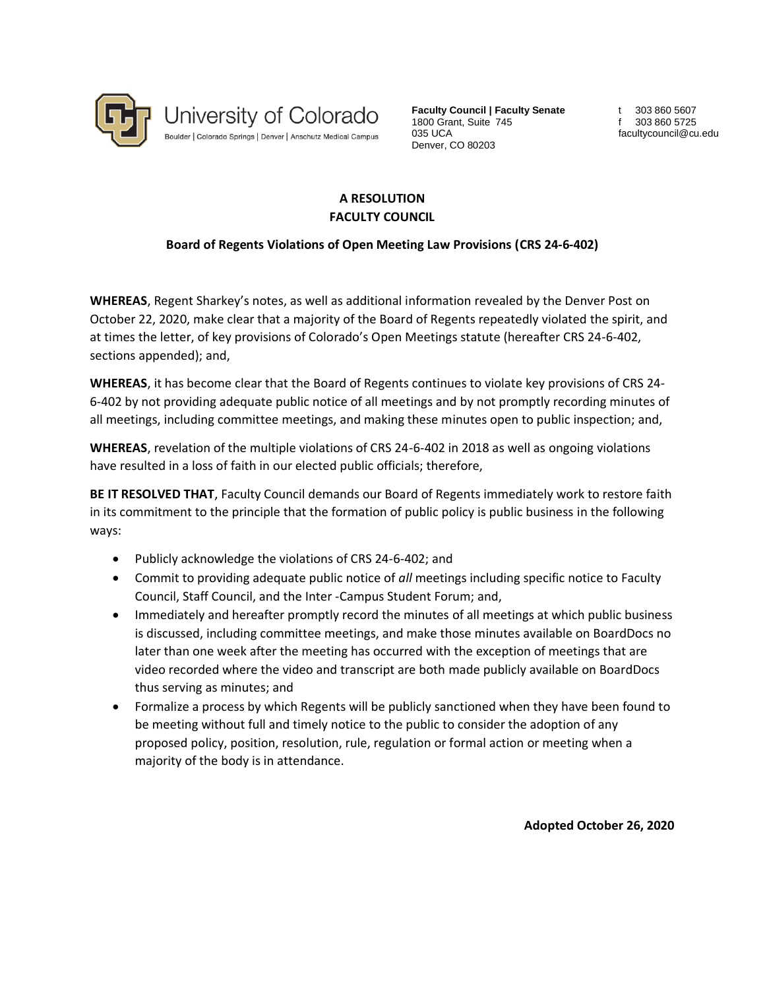

**Faculty Council | Faculty Senate** 1800 Grant, Suite 745 035 UCA Denver, CO 80203

t 303 860 5607 f 303 860 5725 facultycouncil@cu.edu

## **A RESOLUTION FACULTY COUNCIL**

## **Board of Regents Violations of Open Meeting Law Provisions (CRS 24-6-402)**

**WHEREAS**, Regent Sharkey's notes, as well as additional information revealed by the Denver Post on October 22, 2020, make clear that a majority of the Board of Regents repeatedly violated the spirit, and at times the letter, of key provisions of Colorado's Open Meetings statute (hereafter CRS 24-6-402, sections appended); and,

**WHEREAS**, it has become clear that the Board of Regents continues to violate key provisions of CRS 24- 6-402 by not providing adequate public notice of all meetings and by not promptly recording minutes of all meetings, including committee meetings, and making these minutes open to public inspection; and,

**WHEREAS**, revelation of the multiple violations of CRS 24-6-402 in 2018 as well as ongoing violations have resulted in a loss of faith in our elected public officials; therefore,

**BE IT RESOLVED THAT**, Faculty Council demands our Board of Regents immediately work to restore faith in its commitment to the principle that the formation of public policy is public business in the following ways:

- Publicly acknowledge the violations of CRS 24-6-402; and
- Commit to providing adequate public notice of *all* meetings including specific notice to Faculty Council, Staff Council, and the Inter -Campus Student Forum; and,
- Immediately and hereafter promptly record the minutes of all meetings at which public business is discussed, including committee meetings, and make those minutes available on BoardDocs no later than one week after the meeting has occurred with the exception of meetings that are video recorded where the video and transcript are both made publicly available on BoardDocs thus serving as minutes; and
- Formalize a process by which Regents will be publicly sanctioned when they have been found to be meeting without full and timely notice to the public to consider the adoption of any proposed policy, position, resolution, rule, regulation or formal action or meeting when a majority of the body is in attendance.

**Adopted October 26, 2020**